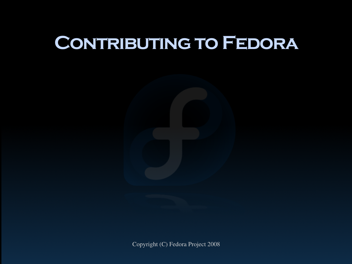# **Contributing to Fedora**

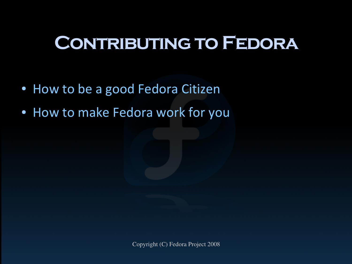# **Contributing to Fedora**

- How to be a good Fedora Citizen
- How to make Fedora work for you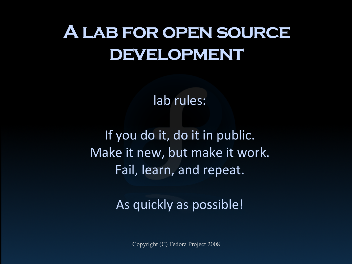# **A lab for open source development**

lab rules:

If you do it, do it in public. Make it new, but make it work. Fail, learn, and repeat.

As quickly as possible!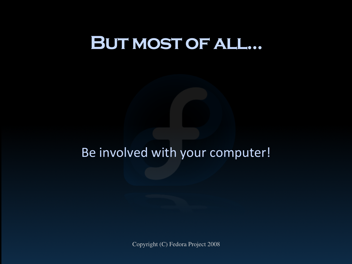#### **But most of all...**

#### Be involved with your computer!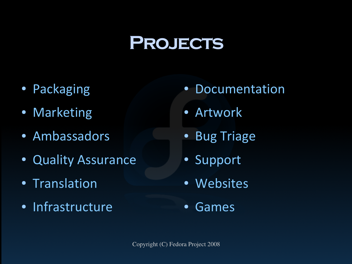## **Projects**

- Packaging
- Marketing
- Ambassadors
- Quality Assurance
- Translation
- Infrastructure
- Documentation
- Artwork
- Bug Triage
- Support
- Websites
- Games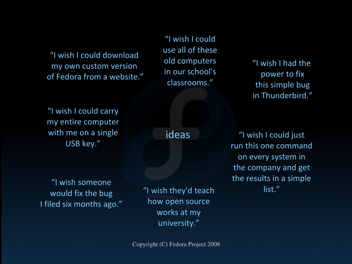"I wish I could download my own custom version of Fedora from a website."

"I wish I could carry my entire computer with me on a single USB key."

"I wish someone would fix the bug I filed six months ago."

"I wish I could use all of these old computers in our school's classrooms."

ideas

"I wish they'd teach list." how open source works at my university."

Copyright (C) Fedora Project 2008

"I wish I had the power to fix this simple bug in Thunderbird."

"I wish I could just run this one command on every system in the company and get the results in a simple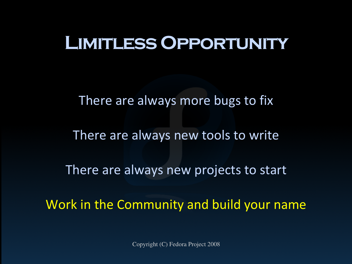#### **Limitless Opportunity**

There are always more bugs to fix

There are always new tools to write

There are always new projects to start

Work in the Community and build your name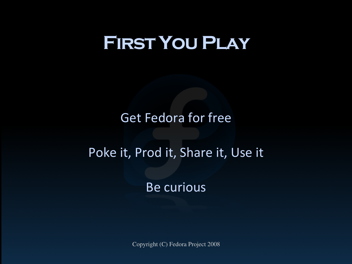#### **First You Play**

Get Fedora for free

Poke it, Prod it, Share it, Use it

Be curious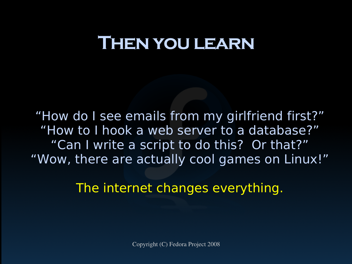#### **Then you learn**

"How do I see emails from my girlfriend first?" "How to I hook a web server to a database?" "Can I write a script to do this? Or that?" "Wow, there are actually cool games on Linux!"

The internet changes everything.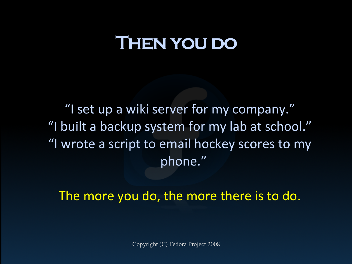## **Then you do**

"I set up a wiki server for my company." "I built a backup system for my lab at school." "I wrote a script to email hockey scores to my phone."

The more you do, the more there is to do.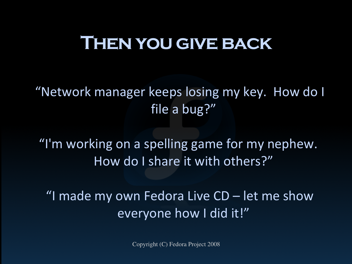## **Then you give back**

"Network manager keeps losing my key. How do I file a bug?"

"I'm working on a spelling game for my nephew. How do I share it with others?"

"I made my own Fedora Live CD – let me show everyone how I did it!"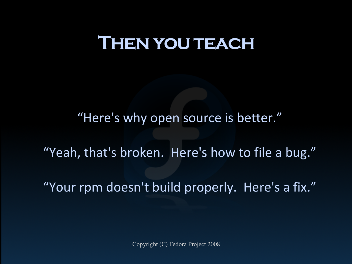#### **Then you teach**

"Here's why open source is better."

"Yeah, that's broken. Here's how to file a bug."

"Your rpm doesn't build properly. Here's a fix."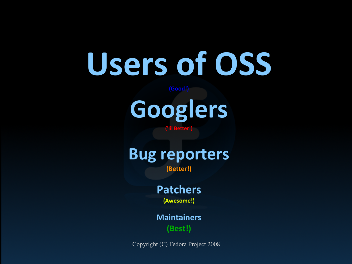# **Users of OSS**



**('lil Better!)**

**Bug reporters**

**(Better!)**

**Patchers**

**(Awesome!)**

**Maintainers (Best!)**